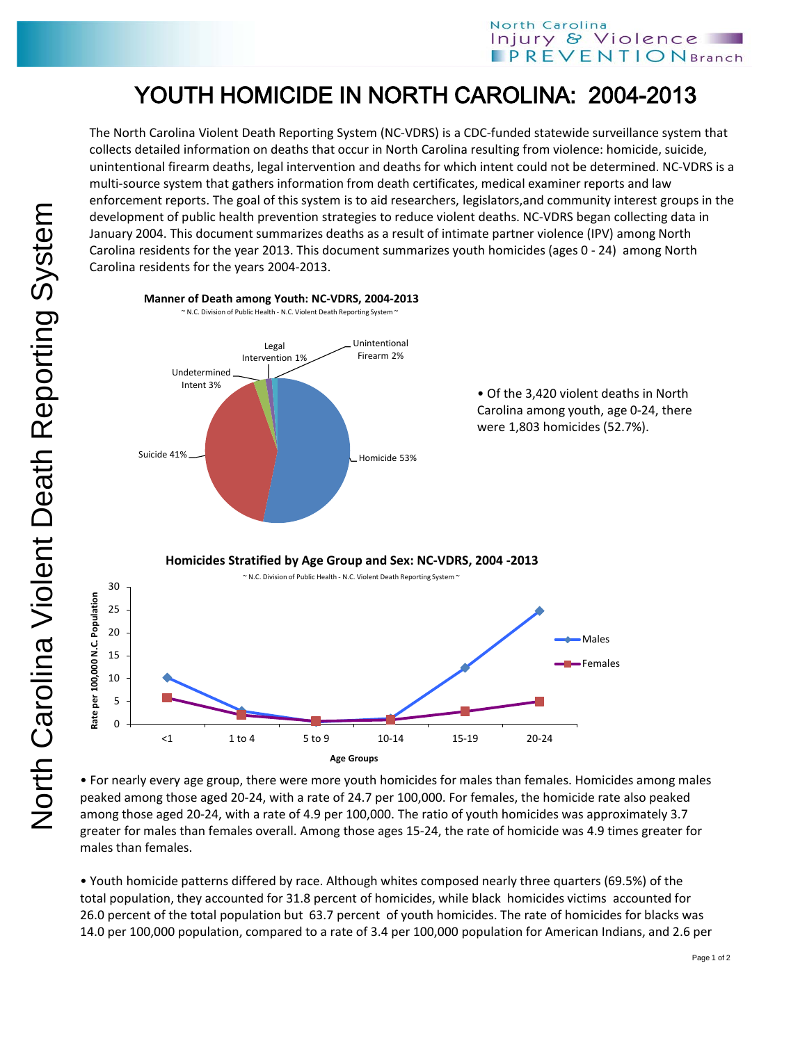## YOUTH HOMICIDE IN NORTH CAROLINA: 2004-2013

The North Carolina Violent Death Reporting System (NC-VDRS) is a CDC-funded statewide surveillance system that collects detailed information on deaths that occur in North Carolina resulting from violence: homicide, suicide, unintentional firearm deaths, legal intervention and deaths for which intent could not be determined. NC-VDRS is a multi-source system that gathers information from death certificates, medical examiner reports and law enforcement reports. The goal of this system is to aid researchers, legislators,and community interest groups in the development of public health prevention strategies to reduce violent deaths. NC-VDRS began collecting data in January 2004. This document summarizes deaths as a result of intimate partner violence (IPV) among North Carolina residents for the year 2013. This document summarizes youth homicides (ages 0 - 24) among North Carolina residents for the years 2004-2013.



• For nearly every age group, there were more youth homicides for males than females. Homicides among males peaked among those aged 20-24, with a rate of 24.7 per 100,000. For females, the homicide rate also peaked among those aged 20-24, with a rate of 4.9 per 100,000. The ratio of youth homicides was approximately 3.7 greater for males than females overall. Among those ages 15-24, the rate of homicide was 4.9 times greater for males than females.

• Youth homicide patterns differed by race. Although whites composed nearly three quarters (69.5%) of the total population, they accounted for 31.8 percent of homicides, while black homicides victims accounted for 26.0 percent of the total population but 63.7 percent of youth homicides. The rate of homicides for blacks was 14.0 per 100,000 population, compared to a rate of 3.4 per 100,000 population for American Indians, and 2.6 per